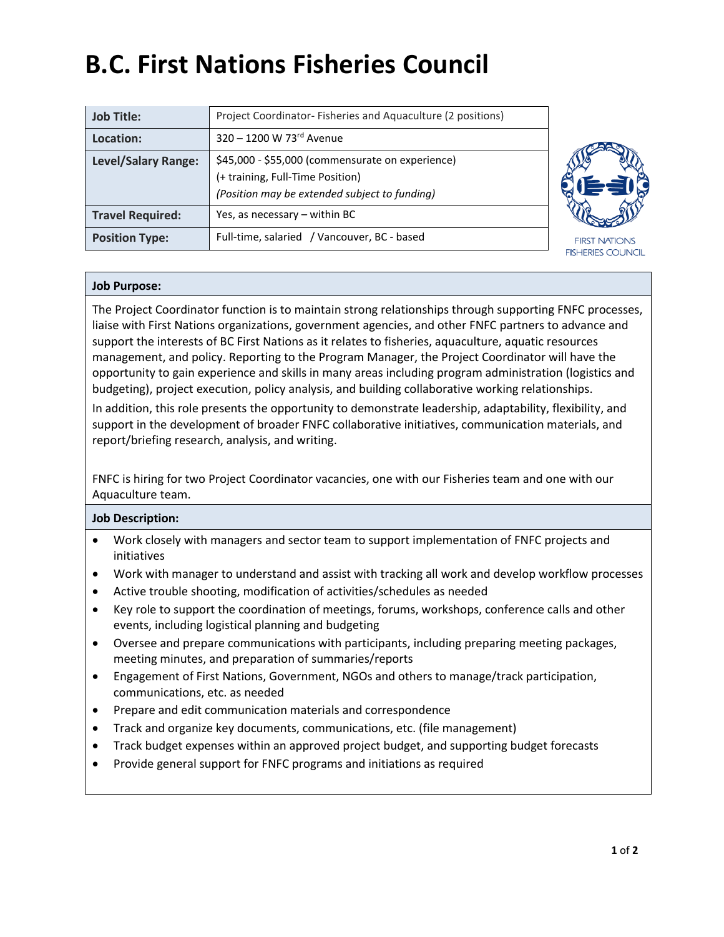# **B.C. First Nations Fisheries Council**

| <b>Job Title:</b>          | Project Coordinator-Fisheries and Aquaculture (2 positions)                                                                           |                                                  |
|----------------------------|---------------------------------------------------------------------------------------------------------------------------------------|--------------------------------------------------|
| Location:                  | 320 - 1200 W 73rd Avenue                                                                                                              |                                                  |
| <b>Level/Salary Range:</b> | \$45,000 - \$55,000 (commensurate on experience)<br>(+ training, Full-Time Position)<br>(Position may be extended subject to funding) |                                                  |
| <b>Travel Required:</b>    | Yes, as necessary - within BC                                                                                                         |                                                  |
| <b>Position Type:</b>      | Full-time, salaried / Vancouver, BC - based                                                                                           | <b>FIRST NATIONS</b><br><b>FISHERIES COUNCIL</b> |

### **Job Purpose:**

The Project Coordinator function is to maintain strong relationships through supporting FNFC processes, liaise with First Nations organizations, government agencies, and other FNFC partners to advance and support the interests of BC First Nations as it relates to fisheries, aquaculture, aquatic resources management, and policy. Reporting to the Program Manager, the Project Coordinator will have the opportunity to gain experience and skills in many areas including program administration (logistics and budgeting), project execution, policy analysis, and building collaborative working relationships.

In addition, this role presents the opportunity to demonstrate leadership, adaptability, flexibility, and support in the development of broader FNFC collaborative initiatives, communication materials, and report/briefing research, analysis, and writing.

FNFC is hiring for two Project Coordinator vacancies, one with our Fisheries team and one with our Aquaculture team.

#### **Job Description:**

- Work closely with managers and sector team to support implementation of FNFC projects and initiatives
- Work with manager to understand and assist with tracking all work and develop workflow processes
- Active trouble shooting, modification of activities/schedules as needed
- Key role to support the coordination of meetings, forums, workshops, conference calls and other events, including logistical planning and budgeting
- Oversee and prepare communications with participants, including preparing meeting packages, meeting minutes, and preparation of summaries/reports
- Engagement of First Nations, Government, NGOs and others to manage/track participation, communications, etc. as needed
- Prepare and edit communication materials and correspondence
- Track and organize key documents, communications, etc. (file management)
- Track budget expenses within an approved project budget, and supporting budget forecasts
- Provide general support for FNFC programs and initiations as required